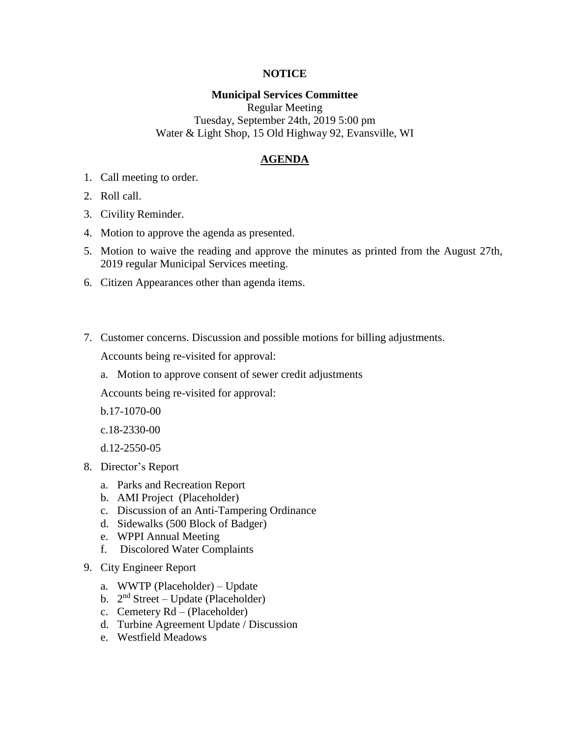# **NOTICE**

#### **Municipal Services Committee**

Regular Meeting Tuesday, September 24th, 2019 5:00 pm Water & Light Shop, 15 Old Highway 92, Evansville, WI

# **AGENDA**

- 1. Call meeting to order.
- 2. Roll call.
- 3. Civility Reminder.
- 4. Motion to approve the agenda as presented.
- 5. Motion to waive the reading and approve the minutes as printed from the August 27th, 2019 regular Municipal Services meeting.
- 6. Citizen Appearances other than agenda items.
- 7. Customer concerns. Discussion and possible motions for billing adjustments. Accounts being re-visited for approval:
	- a. Motion to approve consent of sewer credit adjustments

Accounts being re-visited for approval:

b.17-1070-00

c.18-2330-00

d.12-2550-05

- 8. Director's Report
	- a. Parks and Recreation Report
	- b. AMI Project (Placeholder)
	- c. Discussion of an Anti-Tampering Ordinance
	- d. Sidewalks (500 Block of Badger)
	- e. WPPI Annual Meeting
	- f. Discolored Water Complaints
- 9. City Engineer Report
	- a. WWTP (Placeholder) Update
	- b.  $2<sup>nd</sup> Street Update (Placeholder)$
	- c. Cemetery Rd (Placeholder)
	- d. Turbine Agreement Update / Discussion
	- e. Westfield Meadows